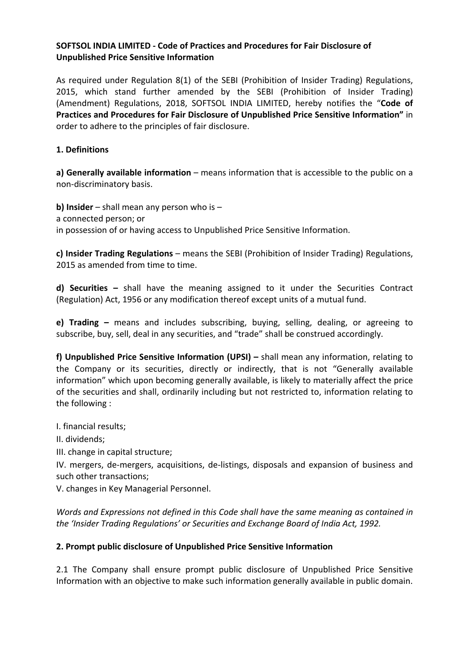### **SOFTSOL INDIA LIMITED - Code of Practices and Procedures for Fair Disclosure of Unpublished Price Sensitive Information**

As required under Regulation 8(1) of the SEBI (Prohibition of Insider Trading) Regulations, 2015, which stand further amended by the SEBI (Prohibition of Insider Trading) (Amendment) Regulations, 2018, SOFTSOL INDIA LIMITED, hereby notifies the "**Code of Practices and Procedures for Fair Disclosure of Unpublished Price Sensitive Information"** in order to adhere to the principles of fair disclosure.

### **1. Definitions**

**a) Generally available information** – means information that is accessible to the public on a non-discriminatory basis.

**b) Insider** – shall mean any person who is – a connected person; or in possession of or having access to Unpublished Price Sensitive Information.

**c) Insider Trading Regulations** – means the SEBI (Prohibition of Insider Trading) Regulations, 2015 as amended from time to time.

**d) Securities –** shall have the meaning assigned to it under the Securities Contract (Regulation) Act, 1956 or any modification thereof except units of a mutual fund.

**e) Trading –** means and includes subscribing, buying, selling, dealing, or agreeing to subscribe, buy, sell, deal in any securities, and "trade" shall be construed accordingly.

**f) Unpublished Price Sensitive Information (UPSI) –** shall mean any information, relating to the Company or its securities, directly or indirectly, that is not "Generally available information" which upon becoming generally available, is likely to materially affect the price of the securities and shall, ordinarily including but not restricted to, information relating to the following :

I. financial results;

II. dividends;

III. change in capital structure;

IV. mergers, de-mergers, acquisitions, de-listings, disposals and expansion of business and such other transactions;

V. changes in Key Managerial Personnel.

*Words and Expressions not defined in this Code shall have the same meaning as contained in the 'Insider Trading Regulations' or Securities and Exchange Board of India Act, 1992.* 

# **2. Prompt public disclosure of Unpublished Price Sensitive Information**

2.1 The Company shall ensure prompt public disclosure of Unpublished Price Sensitive Information with an objective to make such information generally available in public domain.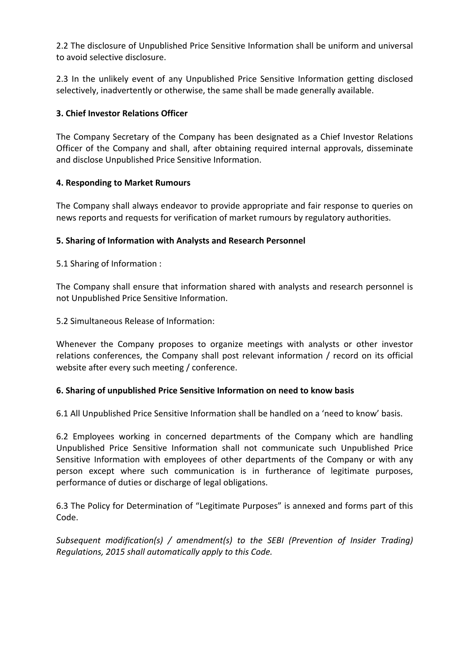2.2 The disclosure of Unpublished Price Sensitive Information shall be uniform and universal to avoid selective disclosure.

2.3 In the unlikely event of any Unpublished Price Sensitive Information getting disclosed selectively, inadvertently or otherwise, the same shall be made generally available.

# **3. Chief Investor Relations Officer**

The Company Secretary of the Company has been designated as a Chief Investor Relations Officer of the Company and shall, after obtaining required internal approvals, disseminate and disclose Unpublished Price Sensitive Information.

# **4. Responding to Market Rumours**

The Company shall always endeavor to provide appropriate and fair response to queries on news reports and requests for verification of market rumours by regulatory authorities.

# **5. Sharing of Information with Analysts and Research Personnel**

5.1 Sharing of Information :

The Company shall ensure that information shared with analysts and research personnel is not Unpublished Price Sensitive Information.

5.2 Simultaneous Release of Information:

Whenever the Company proposes to organize meetings with analysts or other investor relations conferences, the Company shall post relevant information / record on its official website after every such meeting / conference.

# **6. Sharing of unpublished Price Sensitive Information on need to know basis**

6.1 All Unpublished Price Sensitive Information shall be handled on a 'need to know' basis.

6.2 Employees working in concerned departments of the Company which are handling Unpublished Price Sensitive Information shall not communicate such Unpublished Price Sensitive Information with employees of other departments of the Company or with any person except where such communication is in furtherance of legitimate purposes, performance of duties or discharge of legal obligations.

6.3 The Policy for Determination of "Legitimate Purposes" is annexed and forms part of this Code.

*Subsequent modification(s) / amendment(s) to the SEBI (Prevention of Insider Trading) Regulations, 2015 shall automatically apply to this Code.*